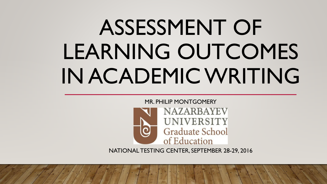# ASSESSMENT OF LEARNING OUTCOMES IN ACADEMIC WRITING



NATIONAL TESTING CENTER, SEPTEMBER 28-29, 2016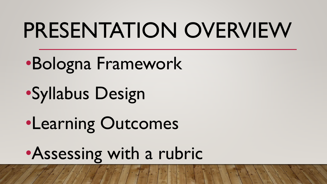## PRESENTATION OVERVIEW

### •Bologna Framework

•Syllabus Design

•Learning Outcomes

•Assessing with a rubric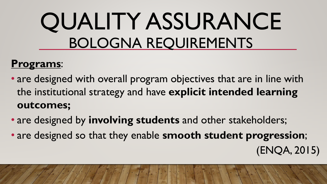## QUALITY ASSURANCE BOLOGNA REQUIREMENTS

### **Programs**:

- are designed with overall program objectives that are in line with the institutional strategy and have **explicit intended learning outcomes;**
- are designed by **involving students** and other stakeholders;
- are designed so that they enable **smooth student progression**;
	- (ENQA, 2015)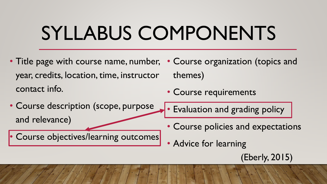### SYLLABUS COMPONENTS

- Title page with course name, number, Course organization (topics and year, credits, location, time, instructor contact info. themes) • Course requirements
- Course description (scope, purpose and relevance)

• Course objectives/learning outcomes

- Evaluation and grading policy
- Course policies and expectations
- Advice for learning
	- (Eberly, 2015)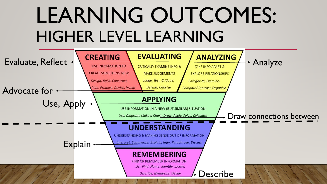### LEARNING OUTCOMES: HIGHER LEVEL LEARNING

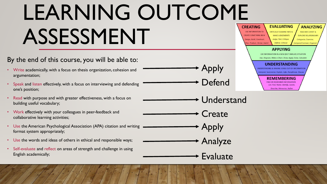# LEARNING OUTCOME ASSESSMENT

#### By the end of this course, you will be able to:

- Write academically, with a focus on thesis organization, cohesion and argumentation;
- Speak and listen effectively, with a focus on interviewing and defending one's position;
- Read with purpose and with greater effectiveness, with a focus on building useful vocabulary;
- Work effectively with your colleagues in peer-feedback and collaborative learning activities;
- Use the American Psychological Association (APA) citation and writing format system appropriately;
- Use the words and ideas of others in ethical and responsible ways;
- Self-evaluate and reflect on areas of strength and challenge in using English academically;



Understand

Apply

Defend

- **Create** 
	- Apply Analyze
		- Evaluate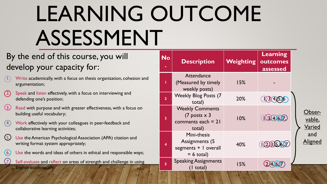# LEARNING OUTCOME ASSESSMENT

### By the end of this course, you will develop your capacity for:

- 1. Write academically, with a focus on thesis organization, cohesion and argumentation;
- 2. Speak and listen effectively, with a focus on interviewing and defending one's position;
- Read with purpose and with greater effectiveness, with a focus on building useful vocabulary;
- 4. Work effectively with your colleagues in peer-feedback and collaborative learning activities;
- 5. Use the American Psychological Association (APA) citation and writing format system appropriately;
- (6.) Use the words and ideas of others in ethical and responsible ways;
	- Self-evaluate and reflect on areas of strength and challenge in using English academically;

| <b>No</b>               | <b>Description</b>                                                                | Weighting | Learning<br>outcomes<br>assessed |  |
|-------------------------|-----------------------------------------------------------------------------------|-----------|----------------------------------|--|
|                         | <b>Attendance</b><br>(Measured by timely<br>weekly posts)                         | 15%       |                                  |  |
| $\overline{2}$          | <b>Weekly Blog Posts (7</b><br>total)                                             | 20%       | 103,4,6                          |  |
| 3                       | <b>Weekly Comments</b><br>$(7$ posts $\times$ 3<br>comments each $= 21$<br>total) | 10%       | 10314,6(7)                       |  |
| $\overline{\mathbf{4}}$ | Mini-thesis<br><b>Assignments (5</b><br>segments +   overall<br>$= 6$ total)      | 40%       | 102,3.5.6.07                     |  |
| 5                       | <b>Speaking Assignments</b><br>(I total)                                          | 15%       |                                  |  |

Observable, Varied and Aligned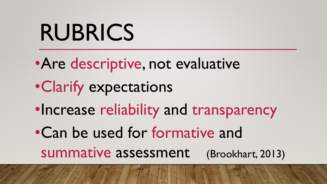# RUBRICS

- •Are descriptive, not evaluative
- •Clarify expectations
- •Increase reliability and transparency
- •Can be used for formative and summative assessment (Brookhart, 2013)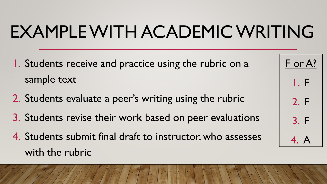### EXAMPLE WITH ACADEMIC WRITING

- 1. Students receive and practice using the rubric on a sample text
- 2. Students evaluate a peer's writing using the rubric
- 3. Students revise their work based on peer evaluations
- 4. Students submit final draft to instructor, who assesses with the rubric

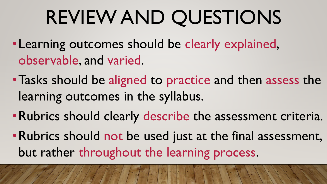## REVIEW AND QUESTIONS

- •Learning outcomes should be clearly explained, observable, and varied.
- •Tasks should be aligned to practice and then assess the learning outcomes in the syllabus.
- •Rubrics should clearly describe the assessment criteria.
- •Rubrics should not be used just at the final assessment, but rather throughout the learning process.